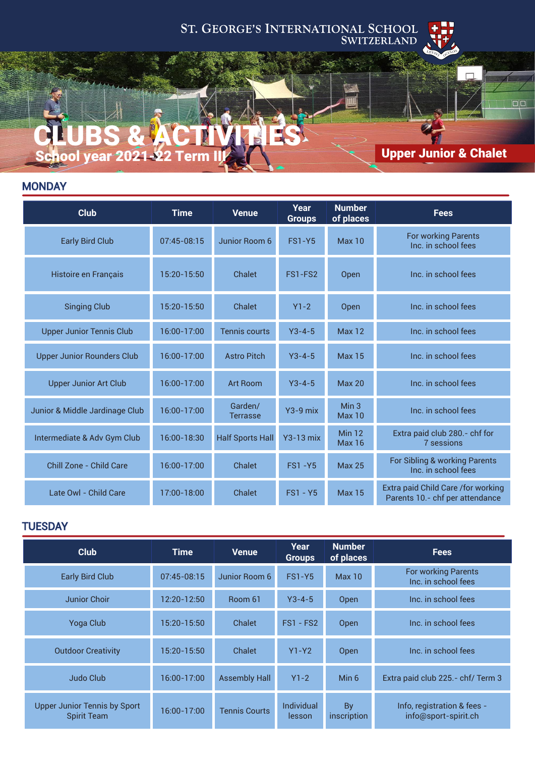# ST. GEORGE'S INTERNATIONAL SCHOOL SWITZERLAND



# Upper Junior & Chalet

 $\Box$ 

# **MONDAY**

CLUBS & ACTIVITIES

School year 2021-22 Term

| <b>Club</b>                       | <b>Time</b>     | <b>Venue</b>               | Year<br><b>Groups</b> | <b>Number</b><br>of places | <b>Fees</b>                                                           |
|-----------------------------------|-----------------|----------------------------|-----------------------|----------------------------|-----------------------------------------------------------------------|
| <b>Early Bird Club</b>            | $07:45-08:15$   | Junior Room 6              | <b>FS1-Y5</b>         | Max <sub>10</sub>          | <b>For working Parents</b><br>Inc. in school fees                     |
| Histoire en Français              | 15:20-15:50     | Chalet                     | FS1-FS2               | Open                       | Inc. in school fees                                                   |
| <b>Singing Club</b>               | 15:20-15:50     | Chalet                     | $Y1-2$                | Open                       | Inc. in school fees                                                   |
| <b>Upper Junior Tennis Club</b>   | 16:00-17:00     | <b>Tennis courts</b>       | $Y3 - 4 - 5$          | <b>Max 12</b>              | Inc. in school fees                                                   |
| <b>Upper Junior Rounders Club</b> | 16:00-17:00     | <b>Astro Pitch</b>         | $Y3 - 4 - 5$          | <b>Max 15</b>              | Inc. in school fees                                                   |
| <b>Upper Junior Art Club</b>      | 16:00-17:00     | <b>Art Room</b>            | $Y3 - 4 - 5$          | Max <sub>20</sub>          | Inc. in school fees                                                   |
| Junior & Middle Jardinage Club    | 16:00-17:00     | Garden/<br><b>Terrasse</b> | $Y3-9$ mix            | Min <sub>3</sub><br>Max 10 | Inc. in school fees                                                   |
| Intermediate & Adv Gym Club       | 16:00-18:30     | <b>Half Sports Hall</b>    | $Y3-13$ mix           | Min $12$<br><b>Max 16</b>  | Extra paid club 280.- chf for<br>7 sessions                           |
| Chill Zone - Child Care           | 16:00-17:00     | Chalet                     | <b>FS1-Y5</b>         | <b>Max 25</b>              | For Sibling & working Parents<br>Inc. in school fees                  |
| Late Owl - Child Care             | $17:00 - 18:00$ | Chalet                     | $FS1 - Y5$            | <b>Max 15</b>              | Extra paid Child Care /for working<br>Parents 10.- chf per attendance |

#### **TUESDAY**

| <b>Club</b>                                               | <b>Time</b>     | <b>Venue</b>         | Year<br><b>Groups</b> | <b>Number</b><br>of places | <b>Fees</b>                                         |
|-----------------------------------------------------------|-----------------|----------------------|-----------------------|----------------------------|-----------------------------------------------------|
| <b>Early Bird Club</b>                                    | $07:45-08:15$   | Junior Room 6        | <b>FS1-Y5</b>         | Max <sub>10</sub>          | <b>For working Parents</b><br>Inc. in school fees   |
| <b>Junior Choir</b>                                       | 12:20-12:50     | Room 61              | $Y3 - 4 - 5$          | Open                       | Inc. in school fees                                 |
| <b>Yoga Club</b>                                          | 15:20-15:50     | Chalet               | $FS1 - FS2$           | Open                       | Inc. in school fees                                 |
| <b>Outdoor Creativity</b>                                 | 15:20-15:50     | Chalet               | $Y1-Y2$               | Open                       | Inc. in school fees                                 |
| Judo Club                                                 | $16:00 - 17:00$ | <b>Assembly Hall</b> | $Y1-2$                | Min 6                      | Extra paid club 225.- chf/ Term 3                   |
| <b>Upper Junior Tennis by Sport</b><br><b>Spirit Team</b> | $16:00 - 17:00$ | <b>Tennis Courts</b> | Individual<br>lesson  | <b>By</b><br>inscription   | Info, registration & fees -<br>info@sport-spirit.ch |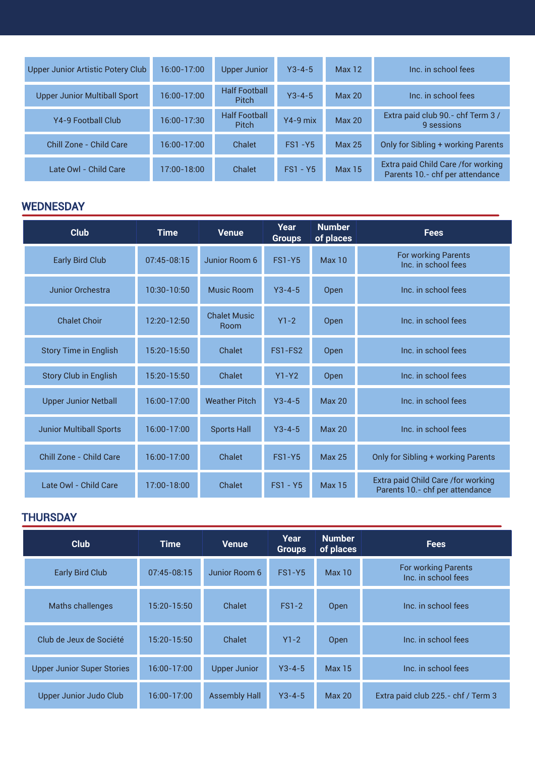| <b>Upper Junior Artistic Potery Club</b> | 16:00-17:00     | <b>Upper Junior</b>                  | $Y3 - 4 - 5$  | Max <sub>12</sub> | Inc. in school fees                                                    |
|------------------------------------------|-----------------|--------------------------------------|---------------|-------------------|------------------------------------------------------------------------|
| <b>Upper Junior Multiball Sport</b>      | 16:00-17:00     | <b>Half Football</b><br><b>Pitch</b> | $Y3 - 4 - 5$  | Max <sub>20</sub> | Inc. in school fees                                                    |
| Y4-9 Football Club                       | 16:00-17:30     | <b>Half Football</b><br><b>Pitch</b> | $Y4-9$ mix    | <b>Max 20</b>     | Extra paid club 90.- chf Term 3 /<br>9 sessions                        |
| Chill Zone - Child Care                  | $16:00 - 17:00$ | Chalet                               | <b>FS1-Y5</b> | <b>Max 25</b>     | Only for Sibling + working Parents                                     |
| Late Owl - Child Care                    | $17:00 - 18:00$ | Chalet                               | $FS1 - Y5$    | <b>Max 15</b>     | Extra paid Child Care / for working<br>Parents 10.- chf per attendance |

## **WEDNESDAY**

| <b>Club</b>                    | <b>Time</b>     | <b>Venue</b>                       | Year<br><b>Groups</b> | <b>Number</b><br>of places | <b>Fees</b>                                                           |
|--------------------------------|-----------------|------------------------------------|-----------------------|----------------------------|-----------------------------------------------------------------------|
| <b>Early Bird Club</b>         | 07:45-08:15     | Junior Room 6                      | <b>FS1-Y5</b>         | Max 10                     | <b>For working Parents</b><br>Inc. in school fees                     |
| Junior Orchestra               | $10:30 - 10:50$ | Music Room                         | $Y3 - 4 - 5$          | Open                       | Inc. in school fees                                                   |
| <b>Chalet Choir</b>            | 12:20-12:50     | <b>Chalet Music</b><br><b>Room</b> | $Y1-2$                | Open                       | Inc. in school fees                                                   |
| <b>Story Time in English</b>   | 15:20-15:50     | Chalet                             | FS1-FS2               | Open                       | Inc. in school fees                                                   |
| <b>Story Club in English</b>   | 15:20-15:50     | Chalet                             | $Y1 - Y2$             | Open                       | Inc. in school fees                                                   |
| <b>Upper Junior Netball</b>    | 16:00-17:00     | <b>Weather Pitch</b>               | $Y3 - 4 - 5$          | <b>Max 20</b>              | Inc. in school fees                                                   |
| <b>Junior Multiball Sports</b> | 16:00-17:00     | <b>Sports Hall</b>                 | $Y3 - 4 - 5$          | <b>Max 20</b>              | Inc. in school fees                                                   |
| Chill Zone - Child Care        | 16:00-17:00     | Chalet                             | <b>FS1-Y5</b>         | <b>Max 25</b>              | Only for Sibling + working Parents                                    |
| Late Owl - Child Care          | 17:00-18:00     | Chalet                             | $FS1 - Y5$            | <b>Max 15</b>              | Extra paid Child Care /for working<br>Parents 10.- chf per attendance |

## **THURSDAY**

| <b>Club</b>                       | <b>Time</b>   | <b>Venue</b>         | Year<br><b>Groups</b> | <b>Number</b><br>of places | <b>Fees</b>                                       |
|-----------------------------------|---------------|----------------------|-----------------------|----------------------------|---------------------------------------------------|
| <b>Early Bird Club</b>            | $07:45-08:15$ | Junior Room 6        | <b>FS1-Y5</b>         | Max <sub>10</sub>          | <b>For working Parents</b><br>Inc. in school fees |
| <b>Maths challenges</b>           | 15:20-15:50   | Chalet               | $FS1-2$               | <b>Open</b>                | Inc. in school fees                               |
| Club de Jeux de Société           | 15:20-15:50   | Chalet               | $Y1-2$                | <b>Open</b>                | Inc. in school fees                               |
| <b>Upper Junior Super Stories</b> | 16:00-17:00   | <b>Upper Junior</b>  | $Y3 - 4 - 5$          | <b>Max 15</b>              | Inc. in school fees                               |
| Upper Junior Judo Club            | 16:00-17:00   | <b>Assembly Hall</b> | $Y3 - 4 - 5$          | <b>Max 20</b>              | Extra paid club 225.- chf / Term 3                |